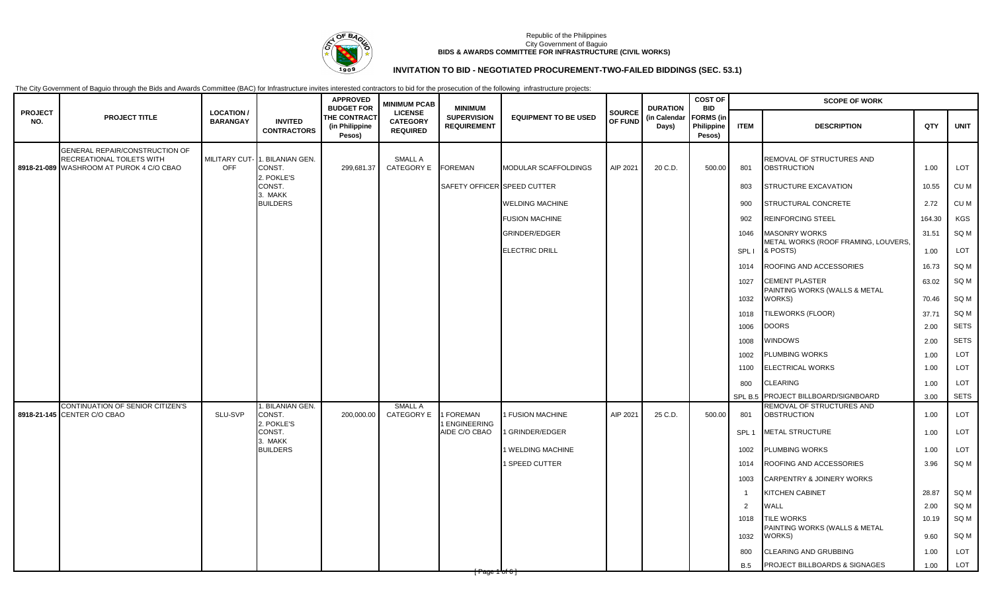

# **INVITATION TO BID - NEGOTIATED PROCUREMENT-TWO-FAILED BIDDINGS (SEC. 53.1)**

|                       |                                                                                                         |                                     |                                       | <b>APPROVED</b><br><b>BUDGET FOR</b>            | <b>MINIMUM PCAB</b>                                  | <b>MINIMUM</b><br><b>SUPERVISION</b><br><b>REQUIREMENT</b> | <b>EQUIPMENT TO BE USED</b> | <b>SOURCE</b><br>OF FUND | <b>DURATION</b>       | <b>COST OF</b><br><b>BID</b>             | <b>SCOPE OF WORK</b> |                                                 |        |             |  |
|-----------------------|---------------------------------------------------------------------------------------------------------|-------------------------------------|---------------------------------------|-------------------------------------------------|------------------------------------------------------|------------------------------------------------------------|-----------------------------|--------------------------|-----------------------|------------------------------------------|----------------------|-------------------------------------------------|--------|-------------|--|
| <b>PROJECT</b><br>NO. | <b>PROJECT TITLE</b>                                                                                    | <b>LOCATION/</b><br><b>BARANGAY</b> | <b>INVITED</b><br><b>CONTRACTORS</b>  | <b>THE CONTRACT</b><br>(in Philippine<br>Pesos) | <b>LICENSE</b><br><b>CATEGORY</b><br><b>REQUIRED</b> |                                                            |                             |                          | (in Calendar<br>Days) | <b>FORMS</b> (in<br>Philippine<br>Pesos) | <b>ITEM</b>          | <b>DESCRIPTION</b>                              | QTY    | <b>UNIT</b> |  |
|                       | GENERAL REPAIR/CONSTRUCTION OF<br>RECREATIONAL TOILETS WITH<br>8918-21-089 WASHROOM AT PUROK 4 C/O CBAO | <b>MILITARY CUT-</b><br><b>OFF</b>  | BILANIAN GEN.<br>CONST.<br>2. POKLE'S | 299,681.37                                      | <b>SMALL A</b><br>CATEGORY E                         | <b>FOREMAN</b>                                             | <b>MODULAR SCAFFOLDINGS</b> | AIP 2021                 | 20 C.D.               | 500.00                                   | 801                  | REMOVAL OF STRUCTURES AND<br><b>OBSTRUCTION</b> | 1.00   | <b>LOT</b>  |  |
|                       |                                                                                                         |                                     | CONST.                                |                                                 |                                                      | SAFETY OFFICER SPEED CUTTER                                |                             |                          |                       |                                          | 803                  | <b>STRUCTURE EXCAVATION</b>                     | 10.55  | CU M        |  |
|                       |                                                                                                         |                                     | . MAKK<br><b>BUILDERS</b>             |                                                 |                                                      |                                                            | <b>WELDING MACHINE</b>      |                          |                       |                                          | 900                  | STRUCTURAL CONCRETE                             | 2.72   | CU M        |  |
|                       |                                                                                                         |                                     |                                       |                                                 |                                                      |                                                            | <b>FUSION MACHINE</b>       |                          |                       |                                          | 902                  | <b>REINFORCING STEEL</b>                        | 164.30 | KGS         |  |
|                       |                                                                                                         |                                     |                                       |                                                 |                                                      |                                                            | <b>GRINDER/EDGER</b>        |                          |                       |                                          | 1046                 | <b>MASONRY WORKS</b>                            | 31.51  | SQ M        |  |
|                       |                                                                                                         |                                     |                                       |                                                 |                                                      |                                                            | <b>ELECTRIC DRILL</b>       |                          |                       |                                          | <b>SPLI</b>          | METAL WORKS (ROOF FRAMING, LOUVERS,<br>& POSTS) | 1.00   | LOT         |  |
|                       |                                                                                                         |                                     |                                       |                                                 |                                                      |                                                            |                             |                          |                       |                                          | 1014                 | ROOFING AND ACCESSORIES                         | 16.73  | SQ M        |  |
|                       |                                                                                                         |                                     |                                       |                                                 |                                                      |                                                            |                             |                          |                       |                                          | 1027                 | CEMENT PLASTER                                  | 63.02  | SQ M        |  |
|                       |                                                                                                         |                                     |                                       |                                                 |                                                      |                                                            |                             |                          |                       |                                          | 1032                 | PAINTING WORKS (WALLS & METAL<br>WORKS)         | 70.46  | SQ M        |  |
|                       |                                                                                                         |                                     |                                       |                                                 |                                                      |                                                            |                             |                          |                       |                                          | 1018                 | TILEWORKS (FLOOR)                               | 37.71  | SQ M        |  |
|                       |                                                                                                         |                                     |                                       |                                                 |                                                      |                                                            |                             |                          |                       |                                          | 1006                 | DOORS                                           | 2.00   | <b>SETS</b> |  |
|                       |                                                                                                         |                                     |                                       |                                                 |                                                      |                                                            |                             |                          |                       |                                          | 1008                 | WINDOWS                                         | 2.00   | <b>SETS</b> |  |
|                       |                                                                                                         |                                     |                                       |                                                 |                                                      |                                                            |                             |                          |                       |                                          | 1002                 | PLUMBING WORKS                                  | 1.00   | LOT         |  |
|                       |                                                                                                         |                                     |                                       |                                                 |                                                      |                                                            |                             |                          |                       |                                          | 1100                 | ELECTRICAL WORKS                                | 1.00   | LOT         |  |
|                       |                                                                                                         |                                     |                                       |                                                 |                                                      |                                                            |                             |                          |                       |                                          | 800                  | CLEARING                                        | 1.00   | LOT         |  |
|                       |                                                                                                         |                                     |                                       |                                                 |                                                      |                                                            |                             |                          |                       |                                          | SPL B.5              | PROJECT BILLBOARD/SIGNBOARD                     | 3.00   | <b>SETS</b> |  |
|                       | CONTINUATION OF SENIOR CITIZEN'S<br>8918-21-145 CENTER C/O CBAO                                         | SLU-SVP                             | . BILANIAN GEN.<br>CONST.             | 200,000.00                                      | <b>SMALL A</b><br>CATEGORY E                         | <b>FOREMAN</b>                                             | <b>FUSION MACHINE</b>       | AIP 2021                 | 25 C.D.               | 500.00                                   | 801                  | REMOVAL OF STRUCTURES AND<br><b>OBSTRUCTION</b> | 1.00   | LOT         |  |
|                       |                                                                                                         |                                     | POKLE'S<br>CONST.                     |                                                 |                                                      | <b>ENGINEERING</b><br>AIDE C/O CBAO                        | 1 GRINDER/EDGER             |                          |                       |                                          | SPL <sub>1</sub>     | <b>METAL STRUCTURE</b>                          | 1.00   | LOT         |  |
|                       |                                                                                                         |                                     | 3. MAKK<br><b>BUILDERS</b>            |                                                 |                                                      |                                                            | 1 WELDING MACHINE           |                          |                       |                                          | 1002                 | <b>PLUMBING WORKS</b>                           | 1.00   | LOT         |  |
|                       |                                                                                                         |                                     |                                       |                                                 |                                                      |                                                            | 1 SPEED CUTTER              |                          |                       |                                          | 1014                 | ROOFING AND ACCESSORIES                         | 3.96   | SQ M        |  |
|                       |                                                                                                         |                                     |                                       |                                                 |                                                      |                                                            |                             |                          |                       |                                          | 1003                 | CARPENTRY & JOINERY WORKS                       |        |             |  |
|                       |                                                                                                         |                                     |                                       |                                                 |                                                      |                                                            |                             |                          |                       |                                          |                      | <b>KITCHEN CABINET</b>                          | 28.87  | SQ M        |  |
|                       |                                                                                                         |                                     |                                       |                                                 |                                                      |                                                            |                             |                          |                       |                                          | 2                    | WALL                                            | 2.00   | SQ M        |  |
|                       |                                                                                                         |                                     |                                       |                                                 |                                                      |                                                            |                             |                          |                       |                                          | 1018                 | <b>TILE WORKS</b>                               | 10.19  | SQ M        |  |
|                       |                                                                                                         |                                     |                                       |                                                 |                                                      |                                                            |                             |                          |                       |                                          | 1032                 | PAINTING WORKS (WALLS & METAL<br>WORKS)         | 9.60   | SQ M        |  |
|                       |                                                                                                         |                                     |                                       |                                                 |                                                      |                                                            |                             |                          |                       |                                          | 800                  | CLEARING AND GRUBBING                           | 1.00   | LOT         |  |
|                       |                                                                                                         |                                     |                                       |                                                 |                                                      |                                                            |                             |                          |                       |                                          | <b>B.5</b>           | PROJECT BILLBOARDS & SIGNAGES                   | 1.00   | LOT         |  |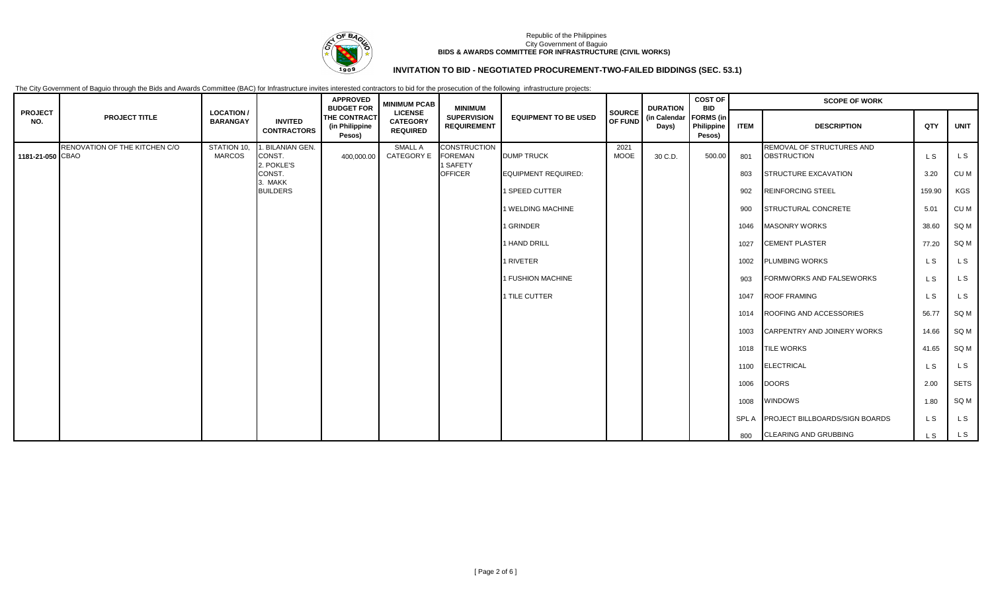

# **INVITATION TO BID - NEGOTIATED PROCUREMENT-TWO-FAILED BIDDINGS (SEC. 53.1)**

|                       |                               |                                      |                                      | <b>APPROVED</b><br><b>BUDGET FOR</b>            | <b>MINIMUM PCAB</b>                                  | <b>MINIMUM</b>                           |                             |                                 | <b>DURATION</b>       | <b>COST OF</b><br><b>BID</b>             |             | <b>SCOPE OF WORK</b>                            |        |             |
|-----------------------|-------------------------------|--------------------------------------|--------------------------------------|-------------------------------------------------|------------------------------------------------------|------------------------------------------|-----------------------------|---------------------------------|-----------------------|------------------------------------------|-------------|-------------------------------------------------|--------|-------------|
| <b>PROJECT</b><br>NO. | <b>PROJECT TITLE</b>          | <b>LOCATION /</b><br><b>BARANGAY</b> | <b>INVITED</b><br><b>CONTRACTORS</b> | <b>THE CONTRACT</b><br>(in Philippine<br>Pesos) | <b>LICENSE</b><br><b>CATEGORY</b><br><b>REQUIRED</b> | <b>SUPERVISION</b><br><b>REQUIREMENT</b> | <b>EQUIPMENT TO BE USED</b> | <b>SOURCE</b><br><b>OF FUND</b> | (in Calendar<br>Days) | <b>FORMS</b> (in<br>Philippine<br>Pesos) | <b>ITEM</b> | <b>DESCRIPTION</b>                              | QTY    | <b>UNIT</b> |
| 1181-21-050 CBAO      | RENOVATION OF THE KITCHEN C/O | STATION 10,<br><b>MARCOS</b>         | . BILANIAN GEN.<br>CONST.            | 400,000.00                                      | <b>SMALL A</b><br><b>CATEGORY E</b>                  | <b>CONSTRUCTION</b><br><b>FOREMAN</b>    | <b>DUMP TRUCK</b>           | 2021<br><b>MOOE</b>             | 30 C.D.               | 500.00                                   | 801         | REMOVAL OF STRUCTURES AND<br><b>OBSTRUCTION</b> | L S    | L S         |
|                       |                               |                                      | 2. POKLE'S<br>CONST.<br>3. MAKK      |                                                 |                                                      | 1 SAFETY<br><b>OFFICER</b>               | EQUIPMENT REQUIRED:         |                                 |                       |                                          | 803         | <b>STRUCTURE EXCAVATION</b>                     | 3.20   | CU M        |
|                       |                               |                                      | <b>BUILDERS</b>                      |                                                 |                                                      |                                          | 1 SPEED CUTTER              |                                 |                       |                                          | 902         | <b>REINFORCING STEEL</b>                        | 159.90 | KGS         |
|                       |                               |                                      |                                      |                                                 |                                                      |                                          | 1 WELDING MACHINE           |                                 |                       |                                          | 900         | <b>STRUCTURAL CONCRETE</b>                      | 5.01   | CU M        |
|                       |                               |                                      |                                      |                                                 |                                                      |                                          | 1 GRINDER                   |                                 |                       |                                          | 1046        | <b>MASONRY WORKS</b>                            | 38.60  | SQ M        |
|                       |                               |                                      |                                      |                                                 |                                                      |                                          | 1 HAND DRILL                |                                 |                       |                                          | 1027        | <b>CEMENT PLASTER</b>                           | 77.20  | SQ M        |
|                       |                               |                                      |                                      |                                                 |                                                      |                                          | 1 RIVETER                   |                                 |                       |                                          | 1002        | <b>PLUMBING WORKS</b>                           | L S    | L S         |
|                       |                               |                                      |                                      |                                                 |                                                      |                                          | 1 FUSHION MACHINE           |                                 |                       |                                          | 903         | FORMWORKS AND FALSEWORKS                        | L S    | L S         |
|                       |                               |                                      |                                      |                                                 |                                                      |                                          | 1 TILE CUTTER               |                                 |                       |                                          | 1047        | <b>ROOF FRAMING</b>                             | L S    | L S         |
|                       |                               |                                      |                                      |                                                 |                                                      |                                          |                             |                                 |                       |                                          | 1014        | ROOFING AND ACCESSORIES                         | 56.77  | SQ M        |
|                       |                               |                                      |                                      |                                                 |                                                      |                                          |                             |                                 |                       |                                          | 1003        | CARPENTRY AND JOINERY WORKS                     | 14.66  | SQ M        |
|                       |                               |                                      |                                      |                                                 |                                                      |                                          |                             |                                 |                       |                                          | 1018        | <b>TILE WORKS</b>                               | 41.65  | SQ M        |
|                       |                               |                                      |                                      |                                                 |                                                      |                                          |                             |                                 |                       |                                          | 1100        | <b>ELECTRICAL</b>                               | L S    | L S         |
|                       |                               |                                      |                                      |                                                 |                                                      |                                          |                             |                                 |                       |                                          | 1006        | <b>DOORS</b>                                    | 2.00   | <b>SETS</b> |
|                       |                               |                                      |                                      |                                                 |                                                      |                                          |                             |                                 |                       |                                          | 1008        | <b>WINDOWS</b>                                  | 1.80   | SQ M        |
|                       |                               |                                      |                                      |                                                 |                                                      |                                          |                             |                                 |                       |                                          | SPL A       | <b>PROJECT BILLBOARDS/SIGN BOARDS</b>           | L S    | L S         |
|                       |                               |                                      |                                      |                                                 |                                                      |                                          |                             |                                 |                       |                                          | 800         | <b>CLEARING AND GRUBBING</b>                    | L S    | L S         |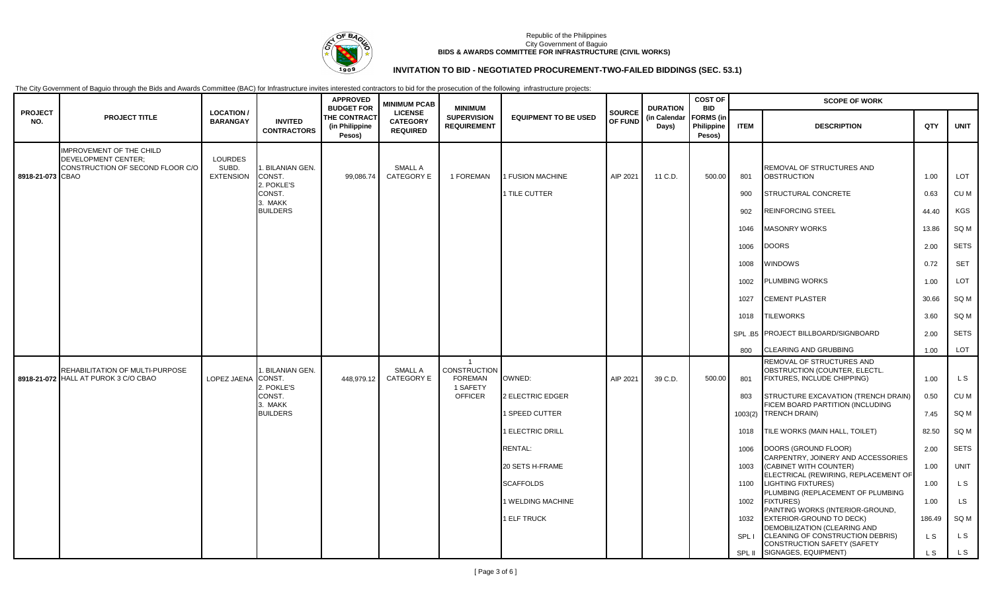

## **INVITATION TO BID - NEGOTIATED PROCUREMENT-TWO-FAILED BIDDINGS (SEC. 53.1)**

|                       |                                                                         |                                             | <b>INVITED</b><br><b>CONTRACTORS</b> | <b>APPROVED</b>                                                      | <b>MINIMUM PCAB</b>                                  | <b>MINIMUM</b><br><b>SUPERVISION</b><br><b>REQUIREMENT</b>          | <b>EQUIPMENT TO BE USED</b> | <b>SOURCE</b><br>OF FUND | <b>DURATION</b>       | <b>COST OF</b><br><b>BID</b>             |             | <b>SCOPE OF WORK</b>                                                                      |                |             |  |
|-----------------------|-------------------------------------------------------------------------|---------------------------------------------|--------------------------------------|----------------------------------------------------------------------|------------------------------------------------------|---------------------------------------------------------------------|-----------------------------|--------------------------|-----------------------|------------------------------------------|-------------|-------------------------------------------------------------------------------------------|----------------|-------------|--|
| <b>PROJECT</b><br>NO. | <b>PROJECT TITLE</b>                                                    | <b>LOCATION/</b><br><b>BARANGAY</b>         |                                      | <b>BUDGET FOR</b><br><b>THE CONTRACT</b><br>(in Philippine<br>Pesos) | <b>LICENSE</b><br><b>CATEGORY</b><br><b>REQUIRED</b> |                                                                     |                             |                          | (in Calendar<br>Days) | <b>FORMS</b> (in<br>Philippine<br>Pesos) | <b>ITEM</b> | <b>DESCRIPTION</b>                                                                        | QTY            | <b>UNIT</b> |  |
|                       | <b>IMPROVEMENT OF THE CHILD</b>                                         |                                             |                                      |                                                                      |                                                      |                                                                     |                             |                          |                       |                                          |             |                                                                                           |                |             |  |
| 8918-21-073 CBAO      | <b>DEVELOPMENT CENTER:</b><br>CONSTRUCTION OF SECOND FLOOR C/O          | <b>LOURDES</b><br>SUBD.<br><b>EXTENSION</b> | BILANIAN GEN.<br>CONST.<br>POKLE'S   | 99,086.74                                                            | SMALL A<br>CATEGORY E                                | 1 FOREMAN                                                           | 1 FUSION MACHINE            | AIP 2021                 | 11 C.D.               | 500.00                                   | 801         | REMOVAL OF STRUCTURES AND<br><b>OBSTRUCTION</b>                                           | 1.00           | LOT         |  |
|                       |                                                                         |                                             | CONST.<br>3. MAKK                    |                                                                      |                                                      |                                                                     | 1 TILE CUTTER               |                          |                       |                                          | 900         | STRUCTURAL CONCRETE                                                                       | 0.63           | CU M        |  |
|                       |                                                                         |                                             | <b>BUILDERS</b>                      |                                                                      |                                                      |                                                                     |                             |                          |                       |                                          | 902         | REINFORCING STEEL                                                                         | 44.40          | <b>KGS</b>  |  |
|                       |                                                                         |                                             |                                      |                                                                      |                                                      |                                                                     |                             |                          |                       |                                          | 1046        | MASONRY WORKS                                                                             | 13.86          | SQ M        |  |
|                       |                                                                         |                                             |                                      |                                                                      |                                                      |                                                                     |                             |                          |                       |                                          | 1006        | <b>DOORS</b>                                                                              | 2.00           | <b>SETS</b> |  |
|                       |                                                                         |                                             |                                      |                                                                      |                                                      |                                                                     |                             |                          |                       |                                          | 1008        | <b>NINDOWS</b>                                                                            | 0.72           | <b>SET</b>  |  |
|                       |                                                                         |                                             |                                      |                                                                      |                                                      |                                                                     |                             |                          |                       |                                          | 1002        | <b>PLUMBING WORKS</b>                                                                     | 1.00           | <b>LOT</b>  |  |
|                       |                                                                         |                                             |                                      |                                                                      |                                                      |                                                                     |                             |                          |                       |                                          | 1027        | CEMENT PLASTER                                                                            | 30.66          | SQ M        |  |
|                       |                                                                         |                                             |                                      |                                                                      |                                                      |                                                                     |                             |                          |                       |                                          | 1018        | <b>TILEWORKS</b>                                                                          | 3.60           | SQ M        |  |
|                       |                                                                         |                                             |                                      |                                                                      |                                                      |                                                                     |                             |                          |                       |                                          |             | SPL B5 PROJECT BILLBOARD/SIGNBOARD                                                        | 2.00           | <b>SETS</b> |  |
|                       |                                                                         |                                             |                                      |                                                                      |                                                      |                                                                     |                             |                          |                       |                                          | 800         | <b>CLEARING AND GRUBBING</b>                                                              | 1.00           | <b>LOT</b>  |  |
|                       | REHABILITATION OF MULTI-PURPOSE<br>8918-21-072 HALL AT PUROK 3 C/O CBAO | LOPEZ JAENA CONST.                          | <b>BILANIAN GEN.</b><br>. POKLE'S    | 448,979.12                                                           | SMALL A<br>CATEGORY E                                | $\overline{1}$<br><b>CONSTRUCTION</b><br><b>FOREMAN</b><br>1 SAFETY | OWNED:                      | AIP 2021                 | 39 C.D.               | 500.00                                   | 801         | REMOVAL OF STRUCTURES AND<br>OBSTRUCTION (COUNTER, ELECTL.<br>FIXTURES, INCLUDE CHIPPING) | 1.00           | L S         |  |
|                       |                                                                         |                                             | CONST.                               |                                                                      |                                                      | <b>OFFICER</b>                                                      | <b>2 ELECTRIC EDGER</b>     |                          |                       |                                          | 803         | STRUCTURE EXCAVATION (TRENCH DRAIN)                                                       | 0.50           | CU M        |  |
|                       |                                                                         |                                             | 3. MAKK<br><b>BUILDERS</b>           |                                                                      |                                                      |                                                                     | 1 SPEED CUTTER              |                          |                       |                                          | 1003(2)     | FICEM BOARD PARTITION (INCLUDING<br><b>TRENCH DRAIN)</b>                                  | 7.45           | SQ M        |  |
|                       |                                                                         |                                             |                                      |                                                                      |                                                      |                                                                     | 1 ELECTRIC DRILL            |                          |                       |                                          | 1018        | TILE WORKS (MAIN HALL, TOILET)                                                            | 82.50          | SQ M        |  |
|                       |                                                                         |                                             |                                      |                                                                      |                                                      |                                                                     | <b>RENTAL:</b>              |                          |                       |                                          | 1006        | DOORS (GROUND FLOOR)<br>CARPENTRY, JOINERY AND ACCESSORIES                                | 2.00           | <b>SETS</b> |  |
|                       |                                                                         |                                             |                                      |                                                                      |                                                      |                                                                     | 20 SETS H-FRAME             |                          |                       |                                          | 1003        | (CABINET WITH COUNTER)<br>ELECTRICAL (REWIRING, REPLACEMENT OF                            | 1.00           | <b>UNIT</b> |  |
|                       |                                                                         |                                             |                                      |                                                                      |                                                      |                                                                     | <b>SCAFFOLDS</b>            |                          |                       |                                          | 1100        | <b>LIGHTING FIXTURES)</b>                                                                 | 1.00           | L S         |  |
|                       |                                                                         |                                             |                                      |                                                                      |                                                      |                                                                     | 1 WELDING MACHINE           |                          |                       |                                          | 1002        | PLUMBING (REPLACEMENT OF PLUMBING<br><b>FIXTURES)</b><br>PAINTING WORKS (INTERIOR-GROUND, | 1.00           | <b>LS</b>   |  |
|                       |                                                                         |                                             |                                      |                                                                      |                                                      |                                                                     | 1 ELF TRUCK                 |                          |                       |                                          | 1032        | <b>EXTERIOR-GROUND TO DECK)</b><br>DEMOBILIZATION (CLEARING AND                           | 186.49         | SQ M        |  |
|                       |                                                                         |                                             |                                      |                                                                      |                                                      |                                                                     |                             |                          |                       |                                          | <b>SPLI</b> | CLEANING OF CONSTRUCTION DEBRIS)<br><b>CONSTRUCTION SAFETY (SAFETY</b>                    | L S            | L S         |  |
|                       |                                                                         |                                             |                                      |                                                                      |                                                      |                                                                     |                             |                          |                       |                                          |             | SPL II SIGNAGES, EQUIPMENT)                                                               | L <sub>S</sub> | L S         |  |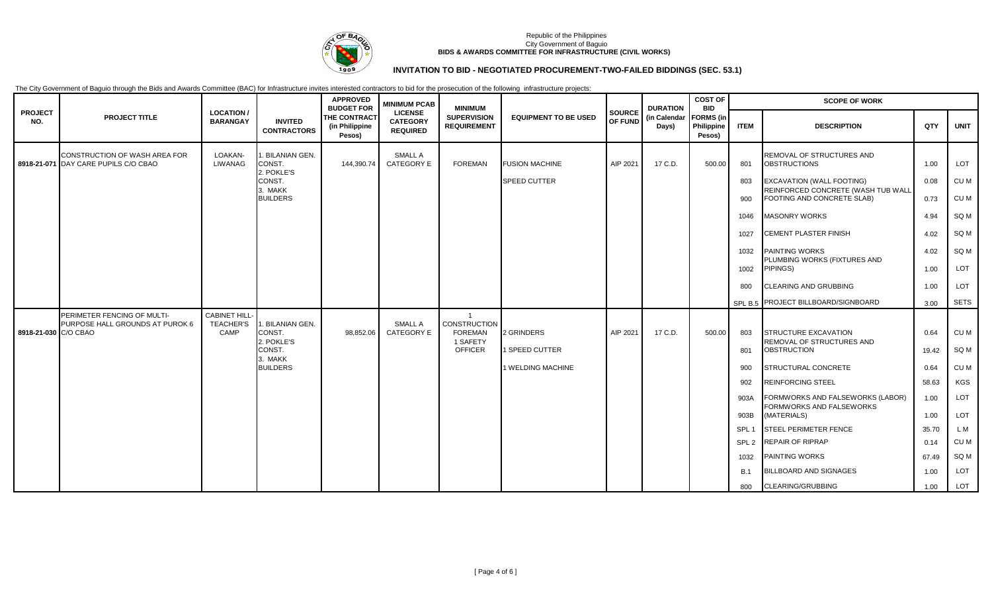

# **INVITATION TO BID - NEGOTIATED PROCUREMENT-TWO-FAILED BIDDINGS (SEC. 53.1)**

|                       |                                                                       |                                                 |                                          | <b>APPROVED</b><br><b>BUDGET FOR</b>     | <b>MINIMUM PCAB</b><br><b>LICENSE</b><br><b>CATEGORY</b><br><b>REQUIRED</b> | <b>MINIMUM</b><br><b>SUPERVISION</b><br><b>REQUIREMENT</b>   | <b>EQUIPMENT TO BE USED</b> | <b>SOURCE</b><br>OF FUND | <b>DURATION</b><br>(in Calendar<br>Days) | <b>COST OF</b><br><b>BID</b><br><b>FORMS</b> (in<br>Philippine<br>Pesos) | <b>SCOPE OF WORK</b> |                                                                                                      |              |              |
|-----------------------|-----------------------------------------------------------------------|-------------------------------------------------|------------------------------------------|------------------------------------------|-----------------------------------------------------------------------------|--------------------------------------------------------------|-----------------------------|--------------------------|------------------------------------------|--------------------------------------------------------------------------|----------------------|------------------------------------------------------------------------------------------------------|--------------|--------------|
| <b>PROJECT</b><br>NO. | <b>PROJECT TITLE</b>                                                  | <b>LOCATION /</b><br><b>BARANGAY</b>            | <b>INVITED</b><br><b>CONTRACTORS</b>     | THE CONTRACT<br>(in Philippine<br>Pesos) |                                                                             |                                                              |                             |                          |                                          |                                                                          | <b>ITEM</b>          | <b>DESCRIPTION</b>                                                                                   | QTY          | <b>UNIT</b>  |
|                       | CONSTRUCTION OF WASH AREA FOR<br>8918-21-071 DAY CARE PUPILS C/O CBAO | LOAKAN-<br>LIWANAG                              | 1. BILANIAN GEN.<br>CONST.<br>2. POKLE'S | 144,390.74                               | <b>SMALL A</b><br><b>CATEGORY E</b>                                         | <b>FOREMAN</b>                                               | <b>FUSION MACHINE</b>       | AIP 2021                 | 17 C.D.                                  | 500.00                                                                   | 801                  | REMOVAL OF STRUCTURES AND<br><b>OBSTRUCTIONS</b>                                                     | 1.00         | LOT          |
|                       |                                                                       |                                                 | CONST.<br>3. MAKK<br><b>BUILDERS</b>     |                                          |                                                                             |                                                              | <b>SPEED CUTTER</b>         |                          |                                          |                                                                          | 803<br>900           | <b>EXCAVATION (WALL FOOTING)</b><br>REINFORCED CONCRETE (WASH TUB WALL<br>FOOTING AND CONCRETE SLAB) | 0.08<br>0.73 | CU M<br>CU M |
|                       |                                                                       |                                                 |                                          |                                          |                                                                             |                                                              |                             |                          |                                          |                                                                          | 1046                 | <b>MASONRY WORKS</b>                                                                                 | 4.94         | SQ M         |
|                       |                                                                       |                                                 |                                          |                                          |                                                                             |                                                              |                             |                          |                                          |                                                                          | 1027                 | <b>CEMENT PLASTER FINISH</b>                                                                         | 4.02         | SQ M         |
|                       |                                                                       |                                                 |                                          |                                          |                                                                             |                                                              |                             |                          |                                          |                                                                          | 1032                 | <b>PAINTING WORKS</b><br>PLUMBING WORKS (FIXTURES AND                                                | 4.02         | SQ M         |
|                       |                                                                       |                                                 |                                          |                                          |                                                                             |                                                              |                             |                          |                                          |                                                                          | 1002                 | PIPINGS)                                                                                             | 1.00         | LOT          |
|                       |                                                                       |                                                 |                                          |                                          |                                                                             |                                                              |                             |                          |                                          |                                                                          | 800                  | <b>CLEARING AND GRUBBING</b>                                                                         | 1.00         | LOT          |
|                       |                                                                       |                                                 |                                          |                                          |                                                                             |                                                              |                             |                          |                                          |                                                                          |                      | SPL B.5 PROJECT BILLBOARD/SIGNBOARD                                                                  | 3.00         | SETS         |
| 8918-21-030 C/O CBAO  | PERIMETER FENCING OF MULTI-<br>PURPOSE HALL GROUNDS AT PUROK 6        | <b>CABINET HILL</b><br><b>TEACHER'S</b><br>CAMP | I. BILANIAN GEN.<br>CONST.<br>2. POKLE'S | 98,852.06                                | <b>SMALL A</b><br><b>CATEGORY E</b>                                         | $\overline{1}$<br>CONSTRUCTION<br><b>FOREMAN</b><br>1 SAFETY | 2 GRINDERS                  | AIP 2021                 | 17 C.D.                                  | 500.00                                                                   | 803                  | STRUCTURE EXCAVATION<br>REMOVAL OF STRUCTURES AND                                                    | 0.64         | CU M         |
|                       |                                                                       |                                                 | CONST.<br>3. MAKK                        |                                          |                                                                             | <b>OFFICER</b>                                               | 1 SPEED CUTTER              |                          |                                          |                                                                          | 801                  | <b>OBSTRUCTION</b>                                                                                   | 19.42        | SQ M         |
|                       |                                                                       |                                                 | <b>BUILDERS</b>                          |                                          |                                                                             |                                                              | 1 WELDING MACHINE           |                          |                                          |                                                                          | 900                  | STRUCTURAL CONCRETE                                                                                  | 0.64         | CU M         |
|                       |                                                                       |                                                 |                                          |                                          |                                                                             |                                                              |                             |                          |                                          |                                                                          | 902                  | <b>REINFORCING STEEL</b>                                                                             | 58.63        | KGS          |
|                       |                                                                       |                                                 |                                          |                                          |                                                                             |                                                              |                             |                          |                                          |                                                                          | 903A                 | FORMWORKS AND FALSEWORKS (LABOR)<br>FORMWORKS AND FALSEWORKS                                         | 1.00         | LOT          |
|                       |                                                                       |                                                 |                                          |                                          |                                                                             |                                                              |                             |                          |                                          |                                                                          | 903B                 | (MATERIALS)                                                                                          | 1.00         | LOT          |
|                       |                                                                       |                                                 |                                          |                                          |                                                                             |                                                              |                             |                          |                                          |                                                                          | SPL <sub>1</sub>     | <b>STEEL PERIMETER FENCE</b>                                                                         | 35.70        | L M          |
|                       |                                                                       |                                                 |                                          |                                          |                                                                             |                                                              |                             |                          |                                          |                                                                          | SPL <sub>2</sub>     | <b>REPAIR OF RIPRAP</b>                                                                              | 0.14         | CU M         |
|                       |                                                                       |                                                 |                                          |                                          |                                                                             |                                                              |                             |                          |                                          |                                                                          | 1032                 | <b>PAINTING WORKS</b>                                                                                | 67.49        | SQ M         |
|                       |                                                                       |                                                 |                                          |                                          |                                                                             |                                                              |                             |                          |                                          |                                                                          | <b>B.1</b>           | <b>BILLBOARD AND SIGNAGES</b>                                                                        | 1.00         | LOT          |
|                       |                                                                       |                                                 |                                          |                                          |                                                                             |                                                              |                             |                          |                                          |                                                                          | 800                  | CLEARING/GRUBBING                                                                                    | 1.00         | LOT          |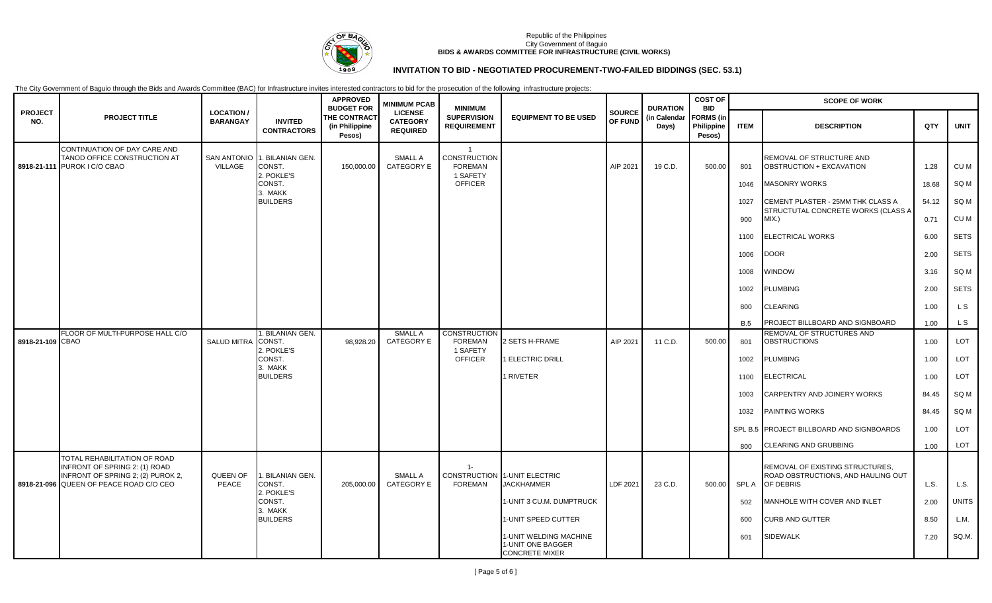

## **INVITATION TO BID - NEGOTIATED PROCUREMENT-TWO-FAILED BIDDINGS (SEC. 53.1)**

|                       |                                                                                                                                                      |                                      |                                                      | <b>APPROVED</b><br><b>BUDGET FOR</b>     | <b>MINIMUM PCAB</b><br><b>LICENSE</b><br><b>CATEGORY</b><br><b>REQUIRED</b> | <b>MINIMUM</b><br><b>SUPERVISION</b><br><b>REQUIREMENT</b>          |                                                                      |                          | <b>DURATION</b>       | <b>COST OF</b><br><b>BID</b>             |             | <b>SCOPE OF WORK</b>                                                               |       |              |
|-----------------------|------------------------------------------------------------------------------------------------------------------------------------------------------|--------------------------------------|------------------------------------------------------|------------------------------------------|-----------------------------------------------------------------------------|---------------------------------------------------------------------|----------------------------------------------------------------------|--------------------------|-----------------------|------------------------------------------|-------------|------------------------------------------------------------------------------------|-------|--------------|
| <b>PROJECT</b><br>NO. | <b>PROJECT TITLE</b>                                                                                                                                 | <b>LOCATION /</b><br><b>BARANGAY</b> | <b>INVITED</b><br><b>CONTRACTORS</b>                 | THE CONTRACT<br>(in Philippine<br>Pesos) |                                                                             |                                                                     | <b>EQUIPMENT TO BE USED</b>                                          | <b>SOURCE</b><br>OF FUND | (in Calendar<br>Days) | <b>FORMS</b> (in<br>Philippine<br>Pesos) | <b>ITEM</b> | <b>DESCRIPTION</b>                                                                 | QTY   | <b>UNIT</b>  |
|                       | CONTINUATION OF DAY CARE AND<br>TANOD OFFICE CONSTRUCTION AT<br>8918-21-111 PUROK I C/O CBAO                                                         | VILLAGE                              | SAN ANTONIO 1. BILANIAN GEN.<br>CONST.<br>2. POKLE'S | 150,000.00                               | <b>SMALL A</b><br><b>CATEGORY E</b>                                         | $\overline{1}$<br><b>CONSTRUCTION</b><br><b>FOREMAN</b><br>1 SAFETY |                                                                      | AIP 2021                 | 19 C.D.               | 500.00                                   | 801         | REMOVAL OF STRUCTURE AND<br>OBSTRUCTION + EXCAVATION                               | 1.28  | CU M         |
|                       |                                                                                                                                                      |                                      | CONST.<br>3. MAKK                                    |                                          |                                                                             | <b>OFFICER</b>                                                      |                                                                      |                          |                       |                                          | 1046        | <b>MASONRY WORKS</b>                                                               | 18.68 | SQ M         |
|                       |                                                                                                                                                      |                                      | <b>BUILDERS</b>                                      |                                          |                                                                             |                                                                     |                                                                      |                          |                       |                                          | 1027        | CEMENT PLASTER - 25MM THK CLASS A<br>STRUCTUTAL CONCRETE WORKS (CLASS A            | 54.12 | SQ M         |
|                       |                                                                                                                                                      |                                      |                                                      |                                          |                                                                             |                                                                     |                                                                      |                          |                       |                                          | 900         | $MIX.$ )                                                                           | 0.71  | CU M         |
|                       |                                                                                                                                                      |                                      |                                                      |                                          |                                                                             |                                                                     |                                                                      |                          |                       |                                          | 1100        | ELECTRICAL WORKS                                                                   | 6.00  | <b>SETS</b>  |
|                       |                                                                                                                                                      |                                      |                                                      |                                          |                                                                             |                                                                     |                                                                      |                          |                       |                                          | 1006        | <b>DOOR</b>                                                                        | 2.00  | <b>SETS</b>  |
|                       |                                                                                                                                                      |                                      |                                                      |                                          |                                                                             |                                                                     |                                                                      |                          |                       |                                          | 1008        | WINDOW                                                                             | 3.16  | SQ M         |
|                       |                                                                                                                                                      |                                      |                                                      |                                          |                                                                             |                                                                     |                                                                      |                          |                       |                                          | 1002        | <b>PLUMBING</b>                                                                    | 2.00  | <b>SETS</b>  |
|                       |                                                                                                                                                      |                                      |                                                      |                                          |                                                                             |                                                                     |                                                                      |                          |                       |                                          | 800         | CLEARING                                                                           | 1.00  | L S          |
|                       |                                                                                                                                                      |                                      |                                                      |                                          |                                                                             |                                                                     |                                                                      |                          |                       |                                          | <b>B.5</b>  | PROJECT BILLBOARD AND SIGNBOARD                                                    | 1.00  | L S          |
| 8918-21-109 CBAO      | FLOOR OF MULTI-PURPOSE HALL C/O                                                                                                                      | <b>SALUD MITRA</b>                   | . BILANIAN GEN.<br>CONST.<br>2. POKLE'S              | 98,928.20                                | <b>SMALL A</b><br><b>CATEGORY E</b>                                         | <b>CONSTRUCTION</b><br><b>FOREMAN</b><br>1 SAFETY                   | SETS H-FRAME                                                         | AIP 2021                 | 11 C.D.               | 500.00                                   | 801         | REMOVAL OF STRUCTURES AND<br><b>OBSTRUCTIONS</b>                                   | 1.00  | LOT          |
|                       |                                                                                                                                                      |                                      | CONST.                                               |                                          |                                                                             | <b>OFFICER</b>                                                      | 1 ELECTRIC DRILL                                                     |                          |                       |                                          | 1002        | <b>PLUMBING</b>                                                                    | 1.00  | LOT          |
|                       |                                                                                                                                                      |                                      | 3. MAKK<br><b>BUILDERS</b>                           |                                          |                                                                             |                                                                     | 1 RIVETER                                                            |                          |                       |                                          | 1100        | ELECTRICAL                                                                         | 1.00  | LOT          |
|                       |                                                                                                                                                      |                                      |                                                      |                                          |                                                                             |                                                                     |                                                                      |                          |                       |                                          | 1003        | CARPENTRY AND JOINERY WORKS                                                        | 84.45 | SQ M         |
|                       |                                                                                                                                                      |                                      |                                                      |                                          |                                                                             |                                                                     |                                                                      |                          |                       |                                          | 1032        | PAINTING WORKS                                                                     | 84.45 | SQ M         |
|                       |                                                                                                                                                      |                                      |                                                      |                                          |                                                                             |                                                                     |                                                                      |                          |                       |                                          |             | SPL B.5 PROJECT BILLBOARD AND SIGNBOARDS                                           | 1.00  | LOT          |
|                       |                                                                                                                                                      |                                      |                                                      |                                          |                                                                             |                                                                     |                                                                      |                          |                       |                                          | 800         | CLEARING AND GRUBBING                                                              | 1.00  | <b>LOT</b>   |
|                       | TOTAL REHABILITATION OF ROAD<br>INFRONT OF SPRING 2: (1) ROAD<br><b>INFRONT OF SPRING 2; (2) PUROK 2,</b><br>8918-21-096 QUEEN OF PEACE ROAD C/O CEO | QUEEN OF<br>PEACE                    | . BILANIAN GEN.<br>CONST.<br>2. POKLE'S              | 205,000.00                               | <b>SMALL A</b><br><b>CATEGORY E</b>                                         | $1 -$<br><b>FOREMAN</b>                                             | CONSTRUCTION 1-UNIT ELECTRIC<br><b>JACKHAMMER</b>                    | LDF 2021                 | 23 C.D.               | 500.00                                   | SPL A       | REMOVAL OF EXISTING STRUCTURES,<br>ROAD OBSTRUCTIONS, AND HAULING OUT<br>OF DEBRIS | L.S.  | L.S.         |
|                       |                                                                                                                                                      |                                      | CONST.                                               |                                          |                                                                             |                                                                     | 1-UNIT 3 CU.M. DUMPTRUCK                                             |                          |                       |                                          | 502         | MANHOLE WITH COVER AND INLET                                                       | 2.00  | <b>UNITS</b> |
|                       |                                                                                                                                                      |                                      | 3. MAKK<br><b>BUILDERS</b>                           |                                          |                                                                             |                                                                     | 1-UNIT SPEED CUTTER                                                  |                          |                       |                                          | 600         | <b>CURB AND GUTTER</b>                                                             | 8.50  | L.M.         |
|                       |                                                                                                                                                      |                                      |                                                      |                                          |                                                                             |                                                                     | 1-UNIT WELDING MACHINE<br>1-UNIT ONE BAGGER<br><b>CONCRETE MIXER</b> |                          |                       |                                          | 601         | <b>SIDEWALK</b>                                                                    | 7.20  | SQ.M.        |